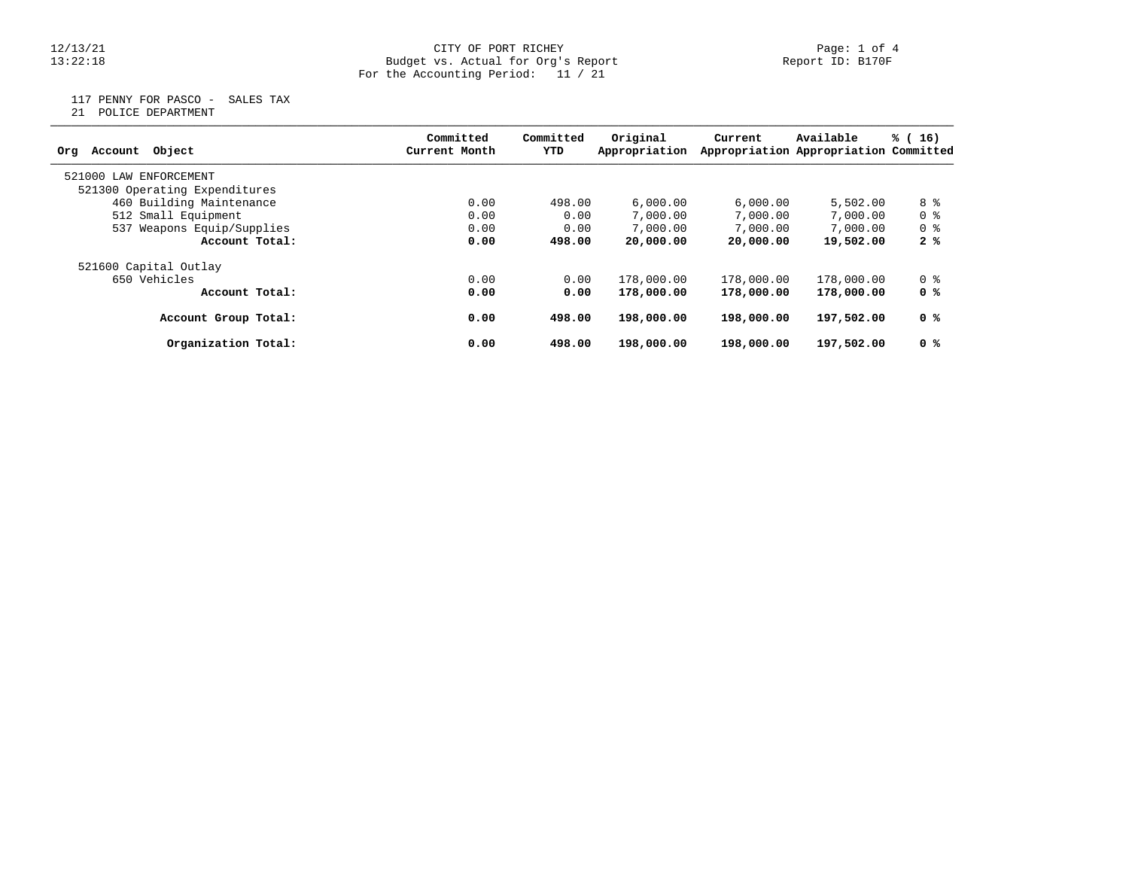## 12/13/21 CITY OF PORT RICHEY Page: 1 of 4 13:22:18 Budget vs. Actual for Org's Report Report ID: B170F For the Accounting Period: 11 / 21

117 PENNY FOR PASCO - SALES TAX

21 POLICE DEPARTMENT

| Object<br>Account<br>Org      | Committed<br>Current Month | Committed<br>YTD | Original<br>Appropriation | Current    | Available<br>Appropriation Appropriation Committed | % (16)         |
|-------------------------------|----------------------------|------------------|---------------------------|------------|----------------------------------------------------|----------------|
| 521000 LAW<br>ENFORCEMENT     |                            |                  |                           |            |                                                    |                |
| 521300 Operating Expenditures |                            |                  |                           |            |                                                    |                |
| 460 Building Maintenance      | 0.00                       | 498.00           | 6,000.00                  | 6,000.00   | 5,502.00                                           | 8 %            |
| 512 Small Equipment           | 0.00                       | 0.00             | 7,000.00                  | 7,000.00   | 7,000.00                                           | 0 <sup>8</sup> |
| 537 Weapons Equip/Supplies    | 0.00                       | 0.00             | 7,000.00                  | 7,000.00   | 7,000.00                                           | 0 <sub>8</sub> |
| Account Total:                | 0.00                       | 498.00           | 20,000.00                 | 20,000.00  | 19,502.00                                          | 2%             |
| 521600 Capital Outlay         |                            |                  |                           |            |                                                    |                |
| 650 Vehicles                  | 0.00                       | 0.00             | 178,000.00                | 178,000.00 | 178,000.00                                         | 0 %            |
| Account Total:                | 0.00                       | 0.00             | 178,000.00                | 178,000.00 | 178,000.00                                         | 0 %            |
| Account Group Total:          | 0.00                       | 498.00           | 198,000.00                | 198,000.00 | 197,502.00                                         | 0 %            |
| Organization Total:           | 0.00                       | 498.00           | 198,000.00                | 198,000.00 | 197,502.00                                         | 0 %            |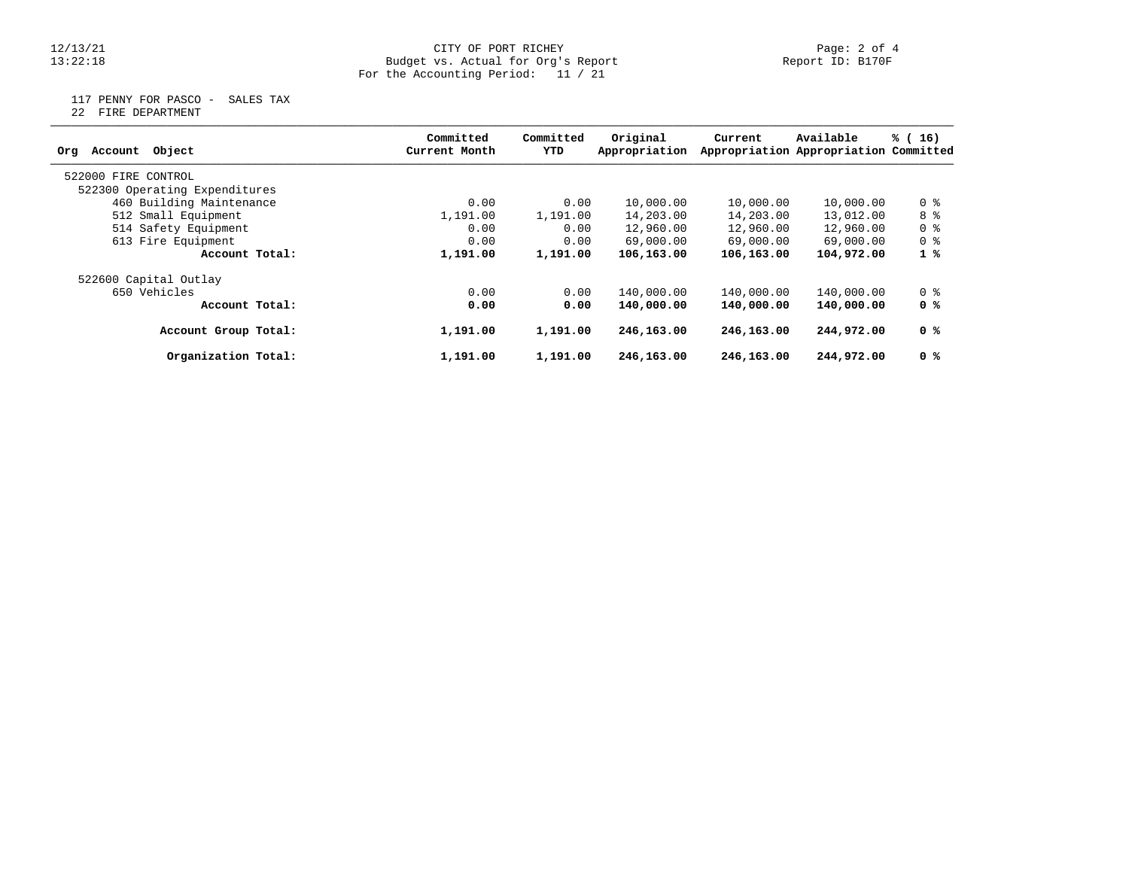## 12/13/21 CITY OF PORT RICHEY Page: 2 of 4 13:22:18 Budget vs. Actual for Org's Report Report ID: B170F For the Accounting Period: 11 / 21

117 PENNY FOR PASCO - SALES TAX

22 FIRE DEPARTMENT

| Object<br>Account<br>Org      | Committed<br>Current Month | Committed<br>YTD | Original<br>Appropriation | Current    | Available<br>Appropriation Appropriation Committed | % (16)         |
|-------------------------------|----------------------------|------------------|---------------------------|------------|----------------------------------------------------|----------------|
| 522000 FIRE CONTROL           |                            |                  |                           |            |                                                    |                |
| 522300 Operating Expenditures |                            |                  |                           |            |                                                    |                |
| 460 Building Maintenance      | 0.00                       | 0.00             | 10,000.00                 | 10,000.00  | 10,000.00                                          | 0 <sub>8</sub> |
| 512 Small Equipment           | 1,191.00                   | 1,191.00         | 14,203.00                 | 14,203.00  | 13,012.00                                          | 8 %            |
| 514 Safety Equipment          | 0.00                       | 0.00             | 12,960.00                 | 12,960.00  | 12,960.00                                          | 0 <sub>8</sub> |
| 613 Fire Equipment            | 0.00                       | 0.00             | 69,000.00                 | 69,000.00  | 69,000.00                                          | 0 <sub>8</sub> |
| Account Total:                | 1,191.00                   | 1,191.00         | 106,163.00                | 106,163.00 | 104,972.00                                         | 1%             |
| 522600 Capital Outlay         |                            |                  |                           |            |                                                    |                |
| 650 Vehicles                  | 0.00                       | 0.00             | 140,000.00                | 140,000.00 | 140,000.00                                         | 0 %            |
| Account Total:                | 0.00                       | 0.00             | 140,000.00                | 140,000.00 | 140,000.00                                         | 0 %            |
| Account Group Total:          | 1,191.00                   | 1,191.00         | 246,163.00                | 246,163.00 | 244,972.00                                         | 0 %            |
| Organization Total:           | 1,191.00                   | 1,191.00         | 246,163.00                | 246,163.00 | 244,972.00                                         | 0 <sup>8</sup> |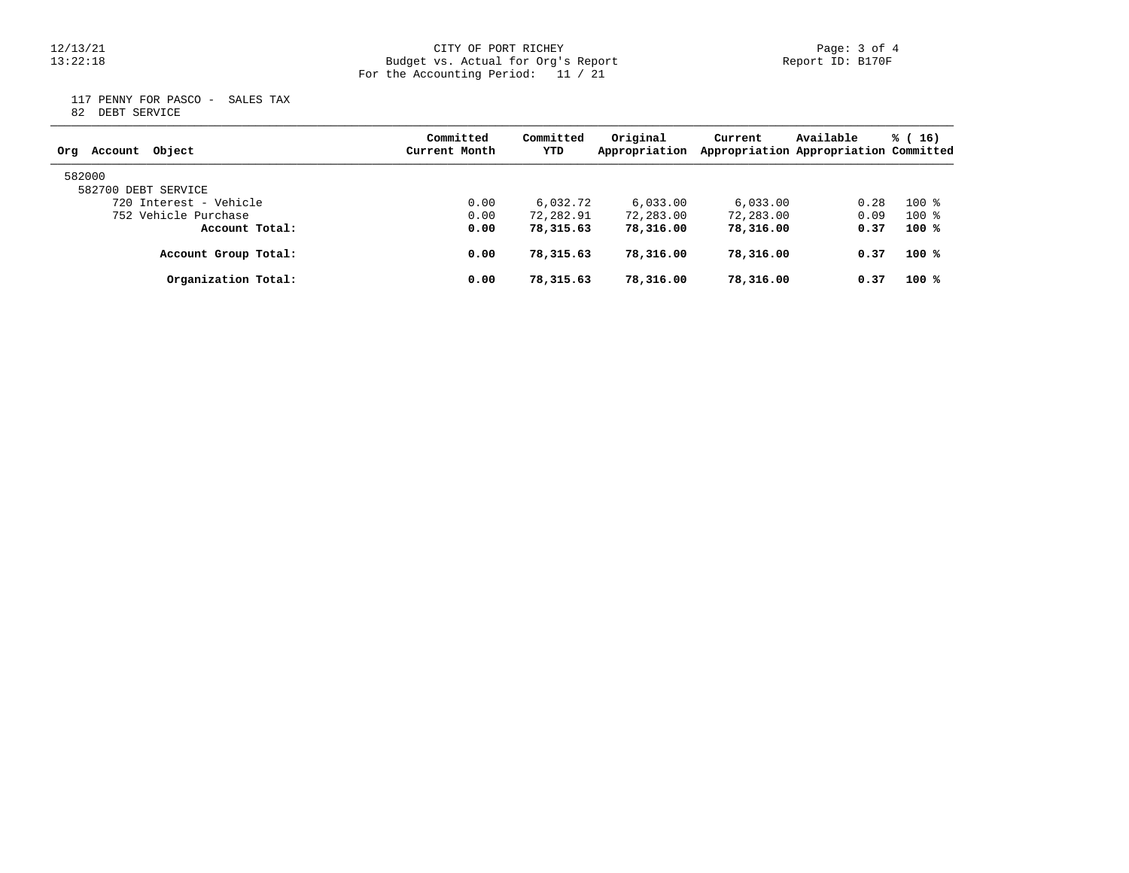## 12/13/21 CITY OF PORT RICHEY Page: 3 of 4 13:22:18 Budget vs. Actual for Org's Report Report ID: B170F For the Accounting Period: 11 / 21

 117 PENNY FOR PASCO - SALES TAX 82 DEBT SERVICE

| Account Object<br>Org  | Committed<br>Current Month | Committed<br>YTD | Original<br>Appropriation | Current   | Available<br>Appropriation Appropriation Committed | $\frac{1}{6}$ (16) |
|------------------------|----------------------------|------------------|---------------------------|-----------|----------------------------------------------------|--------------------|
| 582000                 |                            |                  |                           |           |                                                    |                    |
| 582700 DEBT SERVICE    |                            |                  |                           |           |                                                    |                    |
| 720 Interest - Vehicle | 0.00                       | 6,032.72         | 6.033.00                  | 6.033.00  | 0.28                                               | $100*$             |
| 752 Vehicle Purchase   | 0.00                       | 72,282.91        | 72,283.00                 | 72,283.00 | 0.09                                               | $100*$             |
| Account Total:         | 0.00                       | 78,315.63        | 78,316.00                 | 78,316.00 | 0.37                                               | $100*$             |
| Account Group Total:   | 0.00                       | 78,315.63        | 78,316.00                 | 78,316.00 | 0.37                                               | $100*$             |
| Organization Total:    | 0.00                       | 78,315.63        | 78,316.00                 | 78,316.00 | 0.37                                               | $100*$             |